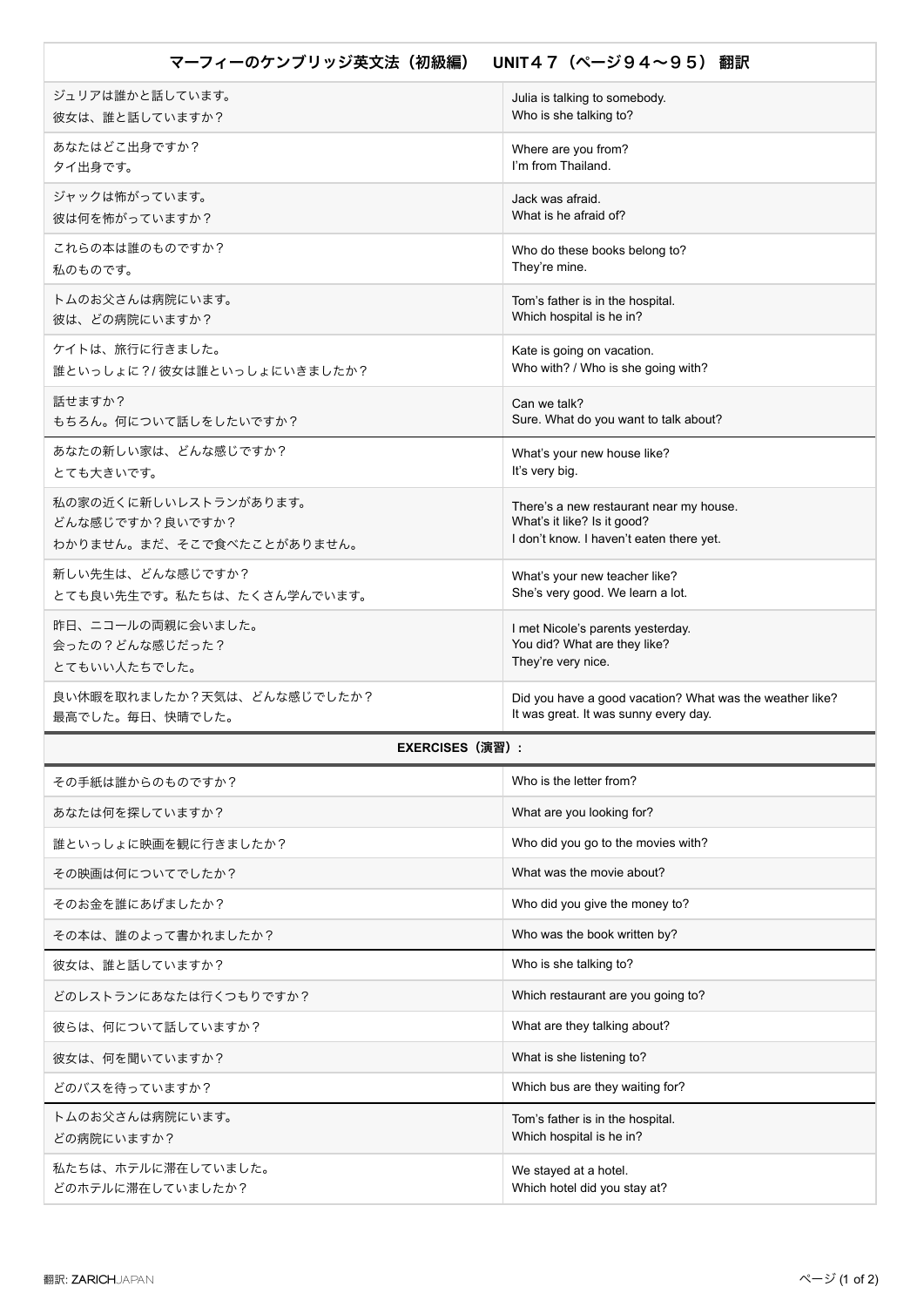| マーフィーのケンブリッジ英文法(初級編)       | UNIT47 (ページ94~95) 翻訳                                     |
|----------------------------|----------------------------------------------------------|
| ジュリアは誰かと話しています。            | Julia is talking to somebody.                            |
| 彼女は、誰と話していますか?             | Who is she talking to?                                   |
| あなたはどこ出身ですか?               | Where are you from?                                      |
| タイ出身です。                    | I'm from Thailand.                                       |
| ジャックは怖がっています。              | Jack was afraid.                                         |
| 彼は何を怖がっていますか?              | What is he afraid of?                                    |
| これらの本は誰のものですか?             | Who do these books belong to?                            |
| 私のものです。                    | They're mine.                                            |
| トムのお父さんは病院にいます。            | Tom's father is in the hospital.                         |
| 彼は、どの病院にいますか?              | Which hospital is he in?                                 |
| ケイトは、旅行に行きました。             | Kate is going on vacation.                               |
| 誰といっしょに?/彼女は誰といっしょにいきましたか? | Who with? / Who is she going with?                       |
| 話せますか?                     | Can we talk?                                             |
| もちろん。何について話しをしたいですか?       | Sure. What do you want to talk about?                    |
| あなたの新しい家は、どんな感じですか?        | What's your new house like?                              |
| とても大きいです。                  | It's very big.                                           |
| 私の家の近くに新しいレストランがあります。      | There's a new restaurant near my house.                  |
| どんな感じですか?良いですか?            | What's it like? Is it good?                              |
| わかりません。まだ、そこで食べたことがありません。  | I don't know. I haven't eaten there yet.                 |
| 新しい先生は、どんな感じですか?           | What's your new teacher like?                            |
| とても良い先生です。私たちは、たくさん学んでいます。 | She's very good. We learn a lot.                         |
| 昨日、ニコールの両親に会いました。          | I met Nicole's parents yesterday.                        |
| 会ったの?どんな感じだった?             | You did? What are they like?                             |
| とてもいい人たちでした。               | They're very nice.                                       |
| 良い休暇を取れましたか?天気は、どんな感じでしたか? | Did you have a good vacation? What was the weather like? |
| 最高でした。毎日、快晴でした。            | It was great. It was sunny every day.                    |
| <b>EXERCISES (演習):</b>     |                                                          |
| その手紙は誰からのものですか?            | Who is the letter from?                                  |
| あなたは何を探していますか?             | What are you looking for?                                |
| 誰といっしょに映画を観に行きましたか?        | Who did you go to the movies with?                       |
| その映画は何についてでしたか?            | What was the movie about?                                |
| そのお金を誰にあげましたか?             | Who did you give the money to?                           |
| その本は、誰のよって書かれましたか?         | Who was the book written by?                             |
| 彼女は、誰と話していますか?             | Who is she talking to?                                   |
| どのレストランにあなたは行くつもりですか?      | Which restaurant are you going to?                       |
| 彼らは、何について話していますか?          | What are they talking about?                             |
| 彼女は、何を聞いていますか?             | What is she listening to?                                |
| どのバスを待っていますか?              | Which bus are they waiting for?                          |
| トムのお父さんは病院にいます。            | Tom's father is in the hospital.                         |
| どの病院にいますか?                 | Which hospital is he in?                                 |
| 私たちは、ホテルに滞在していました。         | We stayed at a hotel.                                    |
| どのホテルに滞在していましたか?           | Which hotel did you stay at?                             |